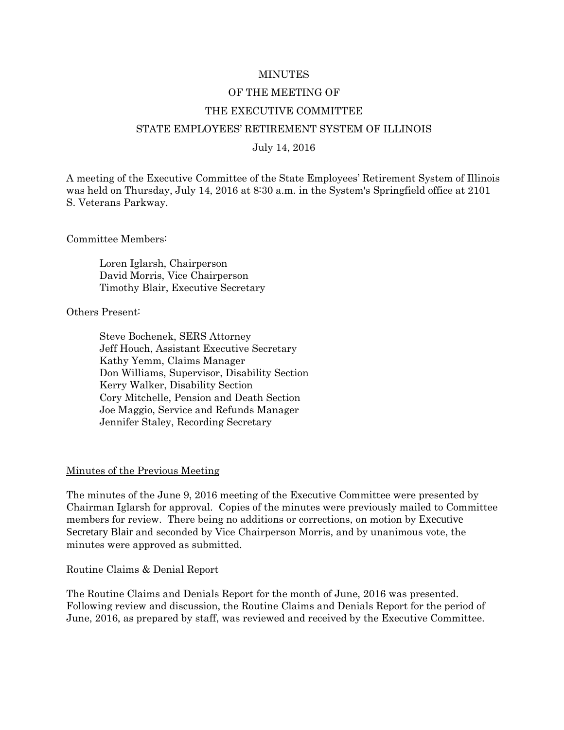#### MINUTES

#### OF THE MEETING OF

#### THE EXECUTIVE COMMITTEE

#### STATE EMPLOYEES' RETIREMENT SYSTEM OF ILLINOIS

#### July 14, 2016

A meeting of the Executive Committee of the State Employees' Retirement System of Illinois was held on Thursday, July 14, 2016 at 8:30 a.m. in the System's Springfield office at 2101 S. Veterans Parkway.

Committee Members:

Loren Iglarsh, Chairperson David Morris, Vice Chairperson Timothy Blair, Executive Secretary

Others Present:

Steve Bochenek, SERS Attorney Jeff Houch, Assistant Executive Secretary Kathy Yemm, Claims Manager Don Williams, Supervisor, Disability Section Kerry Walker, Disability Section Cory Mitchelle, Pension and Death Section Joe Maggio, Service and Refunds Manager Jennifer Staley, Recording Secretary

#### Minutes of the Previous Meeting

The minutes of the June 9, 2016 meeting of the Executive Committee were presented by Chairman Iglarsh for approval. Copies of the minutes were previously mailed to Committee members for review. There being no additions or corrections, on motion by Executive Secretary Blair and seconded by Vice Chairperson Morris, and by unanimous vote, the minutes were approved as submitted.

#### Routine Claims & Denial Report

The Routine Claims and Denials Report for the month of June, 2016 was presented. Following review and discussion, the Routine Claims and Denials Report for the period of June, 2016, as prepared by staff, was reviewed and received by the Executive Committee.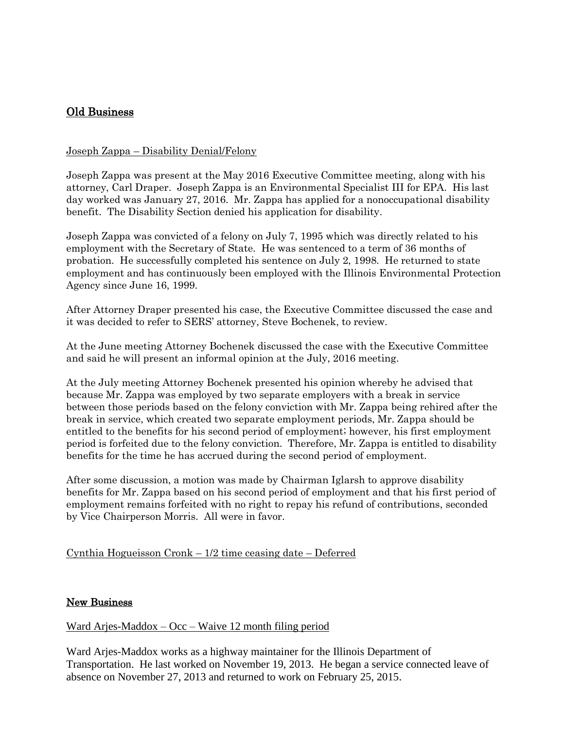# Old Business

## Joseph Zappa – Disability Denial/Felony

Joseph Zappa was present at the May 2016 Executive Committee meeting, along with his attorney, Carl Draper. Joseph Zappa is an Environmental Specialist III for EPA. His last day worked was January 27, 2016. Mr. Zappa has applied for a nonoccupational disability benefit. The Disability Section denied his application for disability.

Joseph Zappa was convicted of a felony on July 7, 1995 which was directly related to his employment with the Secretary of State. He was sentenced to a term of 36 months of probation. He successfully completed his sentence on July 2, 1998. He returned to state employment and has continuously been employed with the Illinois Environmental Protection Agency since June 16, 1999.

After Attorney Draper presented his case, the Executive Committee discussed the case and it was decided to refer to SERS' attorney, Steve Bochenek, to review.

At the June meeting Attorney Bochenek discussed the case with the Executive Committee and said he will present an informal opinion at the July, 2016 meeting.

At the July meeting Attorney Bochenek presented his opinion whereby he advised that because Mr. Zappa was employed by two separate employers with a break in service between those periods based on the felony conviction with Mr. Zappa being rehired after the break in service, which created two separate employment periods, Mr. Zappa should be entitled to the benefits for his second period of employment; however, his first employment period is forfeited due to the felony conviction. Therefore, Mr. Zappa is entitled to disability benefits for the time he has accrued during the second period of employment.

After some discussion, a motion was made by Chairman Iglarsh to approve disability benefits for Mr. Zappa based on his second period of employment and that his first period of employment remains forfeited with no right to repay his refund of contributions, seconded by Vice Chairperson Morris. All were in favor.

## Cynthia Hogueisson Cronk – 1/2 time ceasing date – Deferred

#### New Business

Ward Arjes-Maddox – Occ – Waive 12 month filing period

Ward Arjes-Maddox works as a highway maintainer for the Illinois Department of Transportation. He last worked on November 19, 2013. He began a service connected leave of absence on November 27, 2013 and returned to work on February 25, 2015.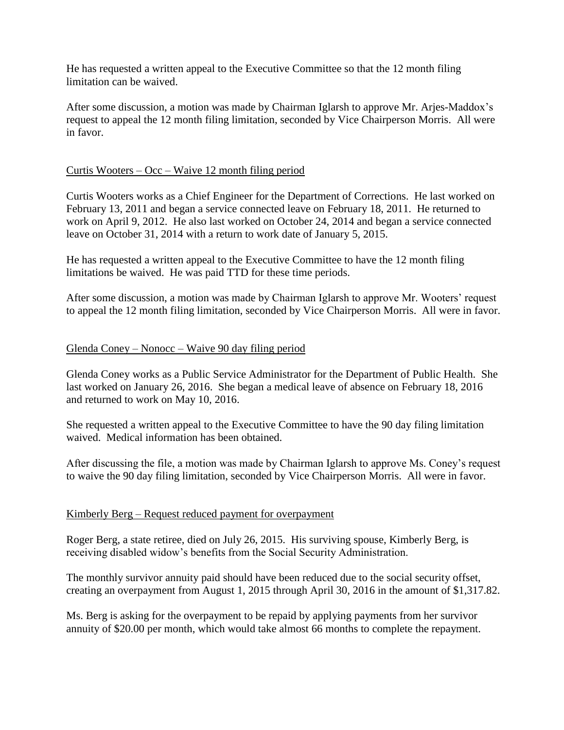He has requested a written appeal to the Executive Committee so that the 12 month filing limitation can be waived.

After some discussion, a motion was made by Chairman Iglarsh to approve Mr. Arjes-Maddox's request to appeal the 12 month filing limitation, seconded by Vice Chairperson Morris. All were in favor.

# Curtis Wooters –  $Occ - Wave 12$  month filing period

Curtis Wooters works as a Chief Engineer for the Department of Corrections. He last worked on February 13, 2011 and began a service connected leave on February 18, 2011. He returned to work on April 9, 2012. He also last worked on October 24, 2014 and began a service connected leave on October 31, 2014 with a return to work date of January 5, 2015.

He has requested a written appeal to the Executive Committee to have the 12 month filing limitations be waived. He was paid TTD for these time periods.

After some discussion, a motion was made by Chairman Iglarsh to approve Mr. Wooters' request to appeal the 12 month filing limitation, seconded by Vice Chairperson Morris. All were in favor.

## Glenda Coney – Nonocc – Waive 90 day filing period

Glenda Coney works as a Public Service Administrator for the Department of Public Health. She last worked on January 26, 2016. She began a medical leave of absence on February 18, 2016 and returned to work on May 10, 2016.

She requested a written appeal to the Executive Committee to have the 90 day filing limitation waived. Medical information has been obtained.

After discussing the file, a motion was made by Chairman Iglarsh to approve Ms. Coney's request to waive the 90 day filing limitation, seconded by Vice Chairperson Morris. All were in favor.

## Kimberly Berg – Request reduced payment for overpayment

Roger Berg, a state retiree, died on July 26, 2015. His surviving spouse, Kimberly Berg, is receiving disabled widow's benefits from the Social Security Administration.

The monthly survivor annuity paid should have been reduced due to the social security offset, creating an overpayment from August 1, 2015 through April 30, 2016 in the amount of \$1,317.82.

Ms. Berg is asking for the overpayment to be repaid by applying payments from her survivor annuity of \$20.00 per month, which would take almost 66 months to complete the repayment.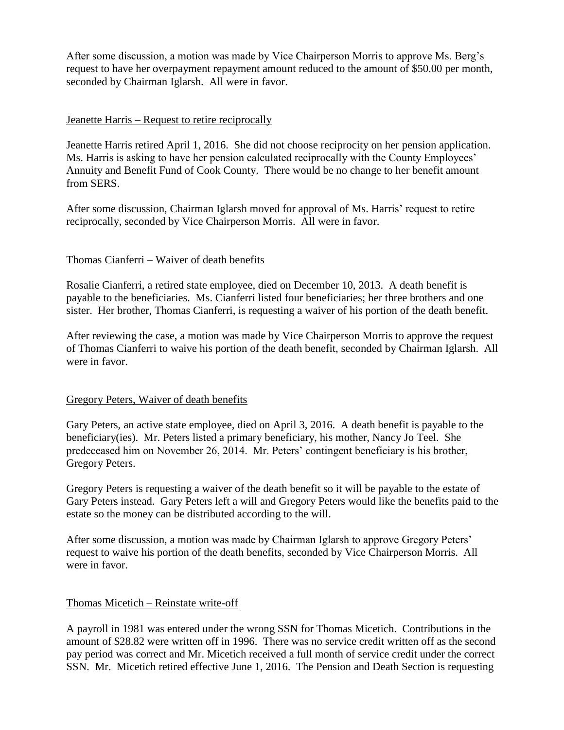After some discussion, a motion was made by Vice Chairperson Morris to approve Ms. Berg's request to have her overpayment repayment amount reduced to the amount of \$50.00 per month, seconded by Chairman Iglarsh. All were in favor.

# Jeanette Harris – Request to retire reciprocally

Jeanette Harris retired April 1, 2016. She did not choose reciprocity on her pension application. Ms. Harris is asking to have her pension calculated reciprocally with the County Employees' Annuity and Benefit Fund of Cook County. There would be no change to her benefit amount from SERS.

After some discussion, Chairman Iglarsh moved for approval of Ms. Harris' request to retire reciprocally, seconded by Vice Chairperson Morris. All were in favor.

# Thomas Cianferri – Waiver of death benefits

Rosalie Cianferri, a retired state employee, died on December 10, 2013. A death benefit is payable to the beneficiaries. Ms. Cianferri listed four beneficiaries; her three brothers and one sister. Her brother, Thomas Cianferri, is requesting a waiver of his portion of the death benefit.

After reviewing the case, a motion was made by Vice Chairperson Morris to approve the request of Thomas Cianferri to waive his portion of the death benefit, seconded by Chairman Iglarsh. All were in favor.

## Gregory Peters, Waiver of death benefits

Gary Peters, an active state employee, died on April 3, 2016. A death benefit is payable to the beneficiary(ies). Mr. Peters listed a primary beneficiary, his mother, Nancy Jo Teel. She predeceased him on November 26, 2014. Mr. Peters' contingent beneficiary is his brother, Gregory Peters.

Gregory Peters is requesting a waiver of the death benefit so it will be payable to the estate of Gary Peters instead. Gary Peters left a will and Gregory Peters would like the benefits paid to the estate so the money can be distributed according to the will.

After some discussion, a motion was made by Chairman Iglarsh to approve Gregory Peters' request to waive his portion of the death benefits, seconded by Vice Chairperson Morris. All were in favor.

## Thomas Micetich – Reinstate write-off

A payroll in 1981 was entered under the wrong SSN for Thomas Micetich. Contributions in the amount of \$28.82 were written off in 1996. There was no service credit written off as the second pay period was correct and Mr. Micetich received a full month of service credit under the correct SSN. Mr. Micetich retired effective June 1, 2016. The Pension and Death Section is requesting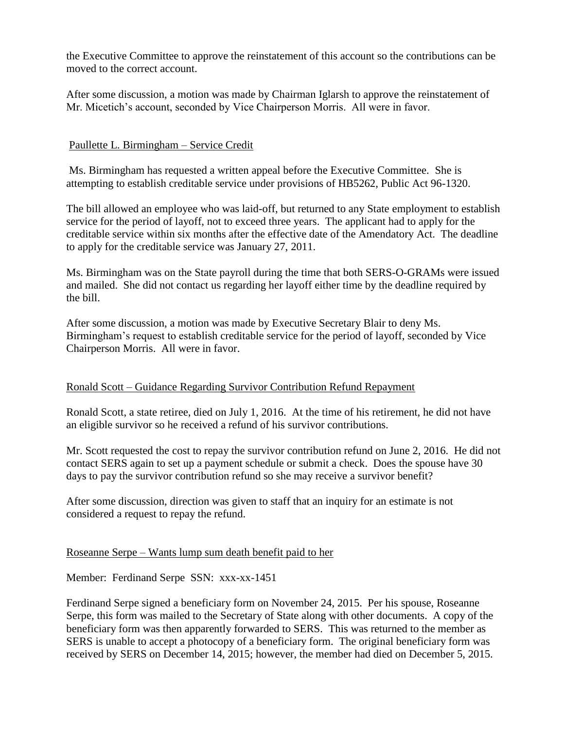the Executive Committee to approve the reinstatement of this account so the contributions can be moved to the correct account.

After some discussion, a motion was made by Chairman Iglarsh to approve the reinstatement of Mr. Micetich's account, seconded by Vice Chairperson Morris. All were in favor.

# Paullette L. Birmingham – Service Credit

Ms. Birmingham has requested a written appeal before the Executive Committee. She is attempting to establish creditable service under provisions of HB5262, Public Act 96-1320.

The bill allowed an employee who was laid-off, but returned to any State employment to establish service for the period of layoff, not to exceed three years. The applicant had to apply for the creditable service within six months after the effective date of the Amendatory Act. The deadline to apply for the creditable service was January 27, 2011.

Ms. Birmingham was on the State payroll during the time that both SERS-O-GRAMs were issued and mailed. She did not contact us regarding her layoff either time by the deadline required by the bill.

After some discussion, a motion was made by Executive Secretary Blair to deny Ms. Birmingham's request to establish creditable service for the period of layoff, seconded by Vice Chairperson Morris. All were in favor.

## Ronald Scott – Guidance Regarding Survivor Contribution Refund Repayment

Ronald Scott, a state retiree, died on July 1, 2016. At the time of his retirement, he did not have an eligible survivor so he received a refund of his survivor contributions.

Mr. Scott requested the cost to repay the survivor contribution refund on June 2, 2016. He did not contact SERS again to set up a payment schedule or submit a check. Does the spouse have 30 days to pay the survivor contribution refund so she may receive a survivor benefit?

After some discussion, direction was given to staff that an inquiry for an estimate is not considered a request to repay the refund.

## Roseanne Serpe – Wants lump sum death benefit paid to her

Member: Ferdinand Serpe SSN: xxx-xx-1451

Ferdinand Serpe signed a beneficiary form on November 24, 2015. Per his spouse, Roseanne Serpe, this form was mailed to the Secretary of State along with other documents. A copy of the beneficiary form was then apparently forwarded to SERS. This was returned to the member as SERS is unable to accept a photocopy of a beneficiary form. The original beneficiary form was received by SERS on December 14, 2015; however, the member had died on December 5, 2015.